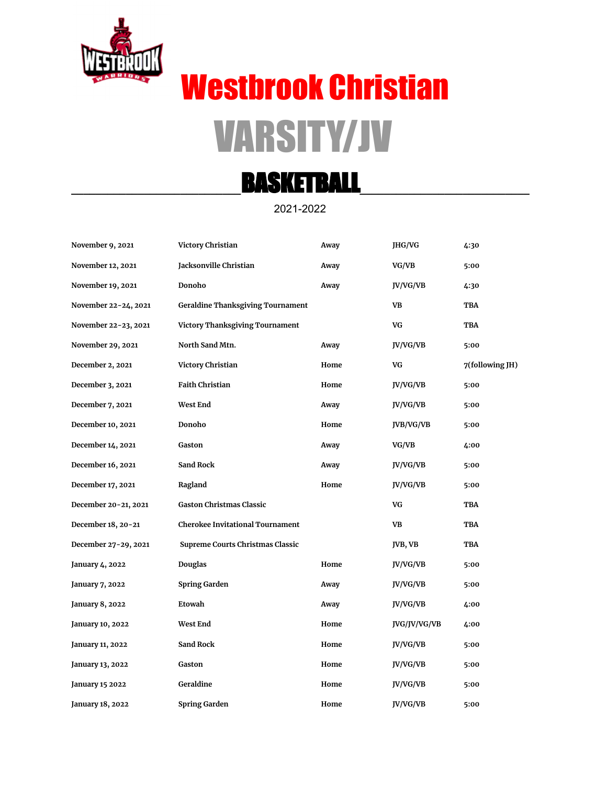

# Westbrook Christian VARSITY/JV

## **\_\_\_\_\_\_\_\_\_\_\_\_\_\_\_\_\_\_\_\_\_\_\_\_\_\_\_\_**BASKETBALL**\_\_\_\_\_\_\_\_\_\_\_\_\_\_\_\_\_\_\_\_\_\_\_\_\_\_\_\_**

#### 2021-2022

| November 9, 2021       | Victory Christian                        | Away | JHG/VG       | 4:30            |
|------------------------|------------------------------------------|------|--------------|-----------------|
| November 12, 2021      | Jacksonville Christian                   | Away | VG/VB        | 5:00            |
| November 19, 2021      | Donoho                                   | Away | JV/VG/VB     | 4:30            |
| November 22-24, 2021   | <b>Geraldine Thanksgiving Tournament</b> |      | VB           | TBA             |
| November 22-23, 2021   | Victory Thanksgiving Tournament          |      | VG           | TBA             |
| November 29, 2021      | North Sand Mtn.                          | Away | JV/VG/VB     | 5:00            |
| December 2, 2021       | Victory Christian                        | Home | VG           | 7(following JH) |
| December 3, 2021       | <b>Faith Christian</b>                   | Home | JV/VG/VB     | 5:00            |
| December 7, 2021       | <b>West End</b>                          | Away | JV/VG/VB     | 5:00            |
| December 10, 2021      | Donoho                                   | Home | JVB/VG/VB    | 5:00            |
| December 14, 2021      | Gaston                                   | Away | VG/VB        | 4:00            |
| December 16, 2021      | <b>Sand Rock</b>                         | Away | JV/VG/VB     | 5:00            |
| December 17, 2021      | Ragland                                  | Home | JV/VG/VB     | 5:00            |
| December 20-21, 2021   | <b>Gaston Christmas Classic</b>          |      | VG           | TBA             |
| December 18, 20-21     | <b>Cherokee Invitational Tournament</b>  |      | <b>VB</b>    | <b>TBA</b>      |
| December 27-29, 2021   | Supreme Courts Christmas Classic         |      | JVB, VB      | TBA             |
| January 4, 2022        | Douglas                                  | Home | JV/VG/VB     | 5:00            |
| January 7, 2022        | <b>Spring Garden</b>                     | Away | JV/VG/VB     | 5:00            |
| January 8, 2022        | Etowah                                   | Away | JV/VG/VB     | 4:00            |
| January 10, 2022       | <b>West End</b>                          | Home | JVG/JV/VG/VB | 4:00            |
| January 11, 2022       | Sand Rock                                | Home | JV/VG/VB     | 5:00            |
| January 13, 2022       | Gaston                                   | Home | JV/VG/VB     | 5:00            |
| <b>January 15 2022</b> | Geraldine                                | Home | JV/VG/VB     | 5:00            |
| January 18, 2022       | <b>Spring Garden</b>                     | Home | JV/VG/VB     | 5:00            |